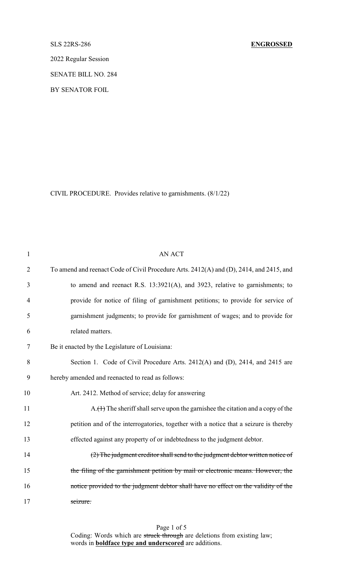2022 Regular Session

SENATE BILL NO. 284

BY SENATOR FOIL

CIVIL PROCEDURE. Provides relative to garnishments. (8/1/22)

| $\mathbf{1}$   | <b>AN ACT</b>                                                                           |
|----------------|-----------------------------------------------------------------------------------------|
| $\overline{2}$ | To amend and reenact Code of Civil Procedure Arts. 2412(A) and (D), 2414, and 2415, and |
| 3              | to amend and reenact R.S. 13:3921(A), and 3923, relative to garnishments; to            |
| 4              | provide for notice of filing of garnishment petitions; to provide for service of        |
| 5              | garnishment judgments; to provide for garnishment of wages; and to provide for          |
| 6              | related matters.                                                                        |
| 7              | Be it enacted by the Legislature of Louisiana:                                          |
| 8              | Section 1. Code of Civil Procedure Arts. 2412(A) and (D), 2414, and 2415 are            |
| 9              | hereby amended and reenacted to read as follows:                                        |
| 10             | Art. 2412. Method of service; delay for answering                                       |
| 11             | A.(1) The sheriff shall serve upon the garnishee the citation and a copy of the         |
| 12             | petition and of the interrogatories, together with a notice that a seizure is thereby   |
| 13             | effected against any property of or indebtedness to the judgment debtor.                |
| 14             | (2) The judgment creditor shall send to the judgment debtor written notice of           |
| 15             | the filing of the garnishment petition by mail or electronic means. However, the        |
| 16             | notice provided to the judgment debtor shall have no effect on the validity of the      |
| 17             | seizure.                                                                                |

Page 1 of 5 Coding: Words which are struck through are deletions from existing law; words in **boldface type and underscored** are additions.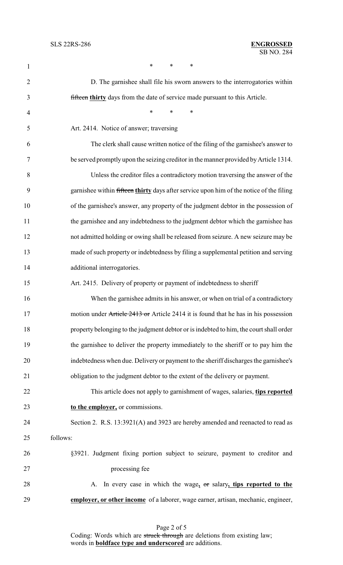| 1              | *<br>*<br>*                                                                             |  |
|----------------|-----------------------------------------------------------------------------------------|--|
| $\overline{2}$ | D. The garnishee shall file his sworn answers to the interrogatories within             |  |
| 3              | fifteen thirty days from the date of service made pursuant to this Article.             |  |
| 4              | $\ast$<br>*<br>∗                                                                        |  |
| 5              | Art. 2414. Notice of answer; traversing                                                 |  |
| 6              | The clerk shall cause written notice of the filing of the garnishee's answer to         |  |
| 7              | be served promptly upon the seizing creditor in the manner provided by Article 1314.    |  |
| 8              | Unless the creditor files a contradictory motion traversing the answer of the           |  |
| 9              | garnishee within fifteen thirty days after service upon him of the notice of the filing |  |
| 10             | of the garnishee's answer, any property of the judgment debtor in the possession of     |  |
| 11             | the garnishee and any indebtedness to the judgment debtor which the garnishee has       |  |
| 12             | not admitted holding or owing shall be released from seizure. A new seizure may be      |  |
| 13             | made of such property or indebtedness by filing a supplemental petition and serving     |  |
| 14             | additional interrogatories.                                                             |  |
| 15             | Art. 2415. Delivery of property or payment of indebtedness to sheriff                   |  |
| 16             | When the garnishee admits in his answer, or when on trial of a contradictory            |  |
| 17             | motion under Article 2413 or Article 2414 it is found that he has in his possession     |  |
| 18             | property belonging to the judgment debtor or is indebted to him, the court shall order  |  |
| 19             | the garnishee to deliver the property immediately to the sheriff or to pay him the      |  |
| 20             | indebtedness when due. Delivery or payment to the sheriff discharges the garnishee's    |  |
| 21             | obligation to the judgment debtor to the extent of the delivery or payment.             |  |
| 22             | This article does not apply to garnishment of wages, salaries, tips reported            |  |
| 23             | to the employer, or commissions.                                                        |  |
| 24             | Section 2. R.S. 13:3921(A) and 3923 are hereby amended and reenacted to read as         |  |
| follows:<br>25 |                                                                                         |  |
| 26             | §3921. Judgment fixing portion subject to seizure, payment to creditor and              |  |
| 27             | processing fee                                                                          |  |
| 28             | In every case in which the wage, or salary, tips reported to the<br>A.                  |  |
| 29             | employer, or other income of a laborer, wage earner, artisan, mechanic, engineer,       |  |
|                |                                                                                         |  |

Page 2 of 5 Coding: Words which are struck through are deletions from existing law; words in **boldface type and underscored** are additions.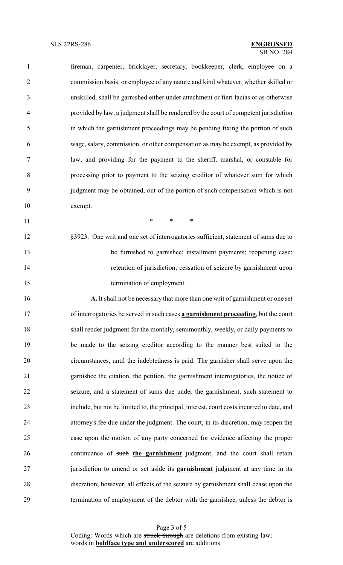fireman, carpenter, bricklayer, secretary, bookkeeper, clerk, employee on a commission basis, or employee of any nature and kind whatever, whether skilled or unskilled, shall be garnished either under attachment or fieri facias or as otherwise provided by law, a judgment shall be rendered by the court of competent jurisdiction in which the garnishment proceedings may be pending fixing the portion of such wage, salary, commission, or other compensation as may be exempt, as provided by law, and providing for the payment to the sheriff, marshal, or constable for processing prior to payment to the seizing creditor of whatever sum for which judgment may be obtained, out of the portion of such compensation which is not exempt.

**\*** \* \* \*

 §3923. One writ and one set of interrogatories sufficient, statement of sums due to be furnished to garnishee; installment payments; reopening case; retention of jurisdiction; cessation of seizure by garnishment upon termination of employment

**A.** It shall not be necessary that more than one writ of garnishment or one set of interrogatories be served in such cases **a garnishment proceeding**, but the court shall render judgment for the monthly, semimonthly, weekly, or daily payments to be made to the seizing creditor according to the manner best suited to the circumstances, until the indebtedness is paid. The garnisher shall serve upon the garnishee the citation, the petition, the garnishment interrogatories, the notice of seizure, and a statement of sums due under the garnishment, such statement to include, but not be limited to, the principal, interest, court costs incurred to date, and attorney's fee due under the judgment. The court, in its discretion, may reopen the case upon the motion of any party concerned for evidence affecting the proper continuance of such **the garnishment** judgment, and the court shall retain jurisdiction to amend or set aside its **garnishment** judgment at any time in its discretion; however, all effects of the seizure by garnishment shall cease upon the termination of employment of the debtor with the garnishee, unless the debtor is

> Page 3 of 5 Coding: Words which are struck through are deletions from existing law; words in **boldface type and underscored** are additions.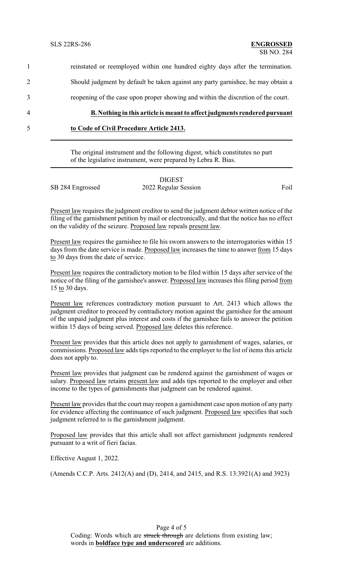1 reinstated or reemployed within one hundred eighty days after the termination. 2 Should judgment by default be taken against any party garnishee, he may obtain a 3 reopening of the case upon proper showing and within the discretion of the court.

4 **B. Nothing in this article is meant to affect judgments rendered pursuant** 5 **to Code of Civil Procedure Article 2413.**

> The original instrument and the following digest, which constitutes no part of the legislative instrument, were prepared by Lebra R. Bias.

|                  | <b>DIGEST</b>        |      |
|------------------|----------------------|------|
| SB 284 Engrossed | 2022 Regular Session | Foil |

Present law requires the judgment creditor to send the judgment debtor written notice of the filing of the garnishment petition by mail or electronically, and that the notice has no effect on the validity of the seizure. Proposed law repeals present law.

Present law requires the garnishee to file his sworn answers to the interrogatories within 15 days from the date service is made. Proposed law increases the time to answer from 15 days to 30 days from the date of service.

Present law requires the contradictory motion to be filed within 15 days after service of the notice of the filing of the garnishee's answer. Proposed law increases this filing period from 15 to 30 days.

Present law references contradictory motion pursuant to Art. 2413 which allows the judgment creditor to proceed by contradictory motion against the garnishee for the amount of the unpaid judgment plus interest and costs if the garnishee fails to answer the petition within 15 days of being served. Proposed law deletes this reference.

Present law provides that this article does not apply to garnishment of wages, salaries, or commissions. Proposed law adds tips reported to the employer to the list of items this article does not apply to.

Present law provides that judgment can be rendered against the garnishment of wages or salary. Proposed law retains present law and adds tips reported to the employer and other income to the types of garnishments that judgment can be rendered against.

Present law provides that the court may reopen a garnishment case upon motion of any party for evidence affecting the continuance of such judgment. Proposed law specifies that such judgment referred to is the garnishment judgment.

Proposed law provides that this article shall not affect garnishment judgments rendered pursuant to a writ of fieri facias.

Effective August 1, 2022.

(Amends C.C.P. Arts. 2412(A) and (D), 2414, and 2415, and R.S. 13:3921(A) and 3923)